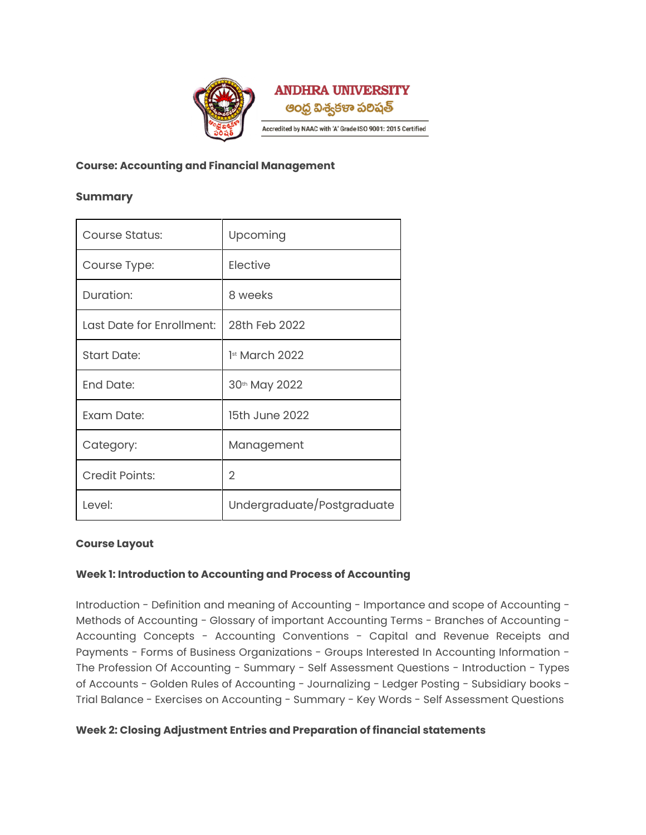

## **Course: Accounting and Financial Management**

## **Summary**

| Course Status:            | Upcoming                   |
|---------------------------|----------------------------|
| Course Type:              | Elective                   |
| Duration:                 | 8 weeks                    |
| Last Date for Enrollment: | 28th Feb 2022              |
| <b>Start Date:</b>        | 1st March 2022             |
| End Date:                 | 30th May 2022              |
| Exam Date:                | 15th June 2022             |
| Category:                 | Management                 |
| <b>Credit Points:</b>     | 2                          |
| Level:                    | Undergraduate/Postgraduate |

## **Course Layout**

## **Week 1: Introduction to Accounting and Process of Accounting**

Introduction - Definition and meaning of Accounting - Importance and scope of Accounting - Methods of Accounting - Glossary of important Accounting Terms - Branches of Accounting - Accounting Concepts - Accounting Conventions - Capital and Revenue Receipts and Payments - Forms of Business Organizations - Groups Interested In Accounting Information -The Profession Of Accounting - Summary - Self Assessment Questions - Introduction - Types of Accounts - Golden Rules of Accounting - Journalizing - Ledger Posting - Subsidiary books - Trial Balance - Exercises on Accounting - Summary - Key Words - Self Assessment Questions

## **Week 2: Closing Adjustment Entries and Preparation of financial statements**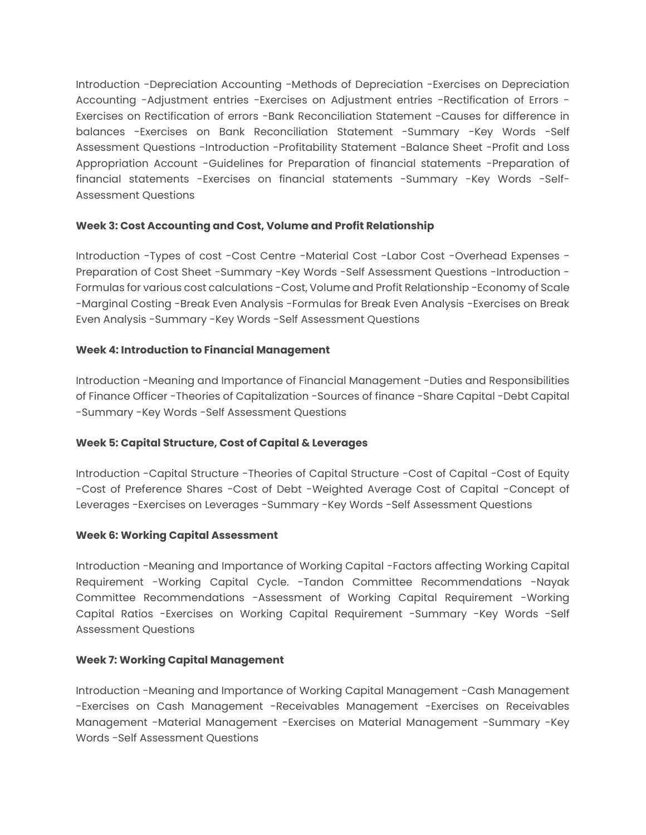Introduction -Depreciation Accounting -Methods of Depreciation -Exercises on Depreciation Accounting -Adjustment entries -Exercises on Adjustment entries -Rectification of Errors - Exercises on Rectification of errors -Bank Reconciliation Statement -Causes for difference in balances -Exercises on Bank Reconciliation Statement -Summary -Key Words -Self Assessment Questions -Introduction -Profitability Statement -Balance Sheet -Profit and Loss Appropriation Account -Guidelines for Preparation of financial statements -Preparation of financial statements -Exercises on financial statements -Summary -Key Words -Self-Assessment Questions

# **Week 3: Cost Accounting and Cost, Volume and Profit Relationship**

Introduction -Types of cost -Cost Centre -Material Cost -Labor Cost -Overhead Expenses - Preparation of Cost Sheet -Summary -Key Words -Self Assessment Questions -Introduction - Formulas for various cost calculations -Cost, Volume and Profit Relationship -Economy of Scale -Marginal Costing -Break Even Analysis -Formulas for Break Even Analysis -Exercises on Break Even Analysis -Summary -Key Words -Self Assessment Questions

# **Week 4: Introduction to Financial Management**

Introduction -Meaning and Importance of Financial Management -Duties and Responsibilities of Finance Officer -Theories of Capitalization -Sources of finance -Share Capital -Debt Capital -Summary -Key Words -Self Assessment Questions

# **Week 5: Capital Structure, Cost of Capital & Leverages**

Introduction -Capital Structure -Theories of Capital Structure -Cost of Capital -Cost of Equity -Cost of Preference Shares -Cost of Debt -Weighted Average Cost of Capital -Concept of Leverages -Exercises on Leverages -Summary -Key Words -Self Assessment Questions

## **Week 6: Working Capital Assessment**

Introduction -Meaning and Importance of Working Capital -Factors affecting Working Capital Requirement -Working Capital Cycle. -Tandon Committee Recommendations -Nayak Committee Recommendations -Assessment of Working Capital Requirement -Working Capital Ratios -Exercises on Working Capital Requirement -Summary -Key Words -Self Assessment Questions

## **Week 7: Working Capital Management**

Introduction -Meaning and Importance of Working Capital Management -Cash Management -Exercises on Cash Management -Receivables Management -Exercises on Receivables Management -Material Management -Exercises on Material Management -Summary -Key Words -Self Assessment Questions